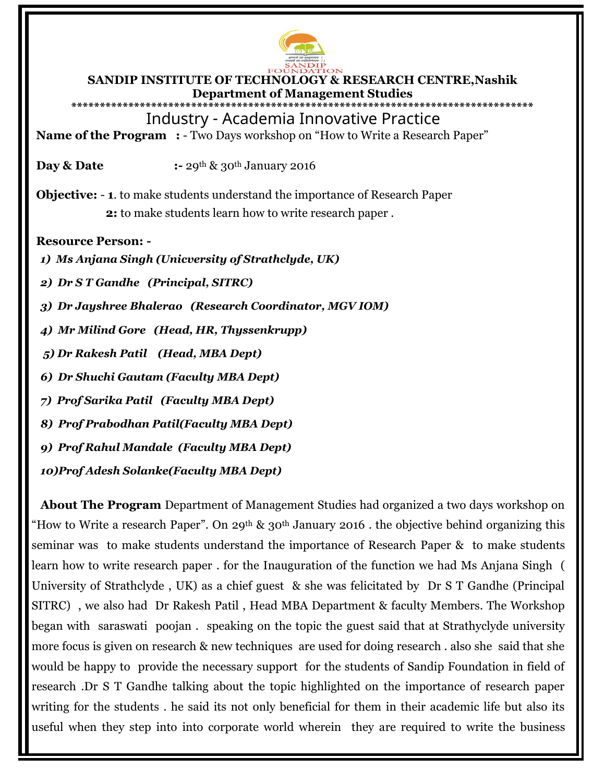

## **SANDIP INSTITUTE OF TECHNOLOGY & RESEARCH CENTRE,Nashik Department of Management Studies**

**\*\*\*\*\*\*\*\*\*\*\*\*\*\*\*\*\*\*\*\*\*\*\*\*\*\*\*\*\*\*\*\*\*\*\*\*\*\*\*\*\*\*\*\*\*\*\*\*\*\*\*\*\*\*\*\*\*\*\*\*\*\*\*\*\*\*\*\*\*\*\*\*\*\*\*\*\*\*\*\*\***

Industry - Academia Innovative Practice

**Name of the Program** : - Two Days workshop on "How to Write a Research Paper"

**Day & Date :**-29<sup>th</sup> & 30<sup>th</sup> January 2016

**Objective:** - **1**. to make students understand the importance of Research Paper **2:** to make students learn how to write research paper .

**Resource Person: -**

*1) Ms Anjana Singh (Unicversity of Strathclyde, UK)*

*2) Dr S T Gandhe (Principal, SITRC)* 

*3) Dr Jayshree Bhalerao (Research Coordinator, MGV IOM)*

*4) Mr Milind Gore (Head, HR, Thyssenkrupp)*

*5) Dr Rakesh Patil (Head, MBA Dept)*

*6) Dr Shuchi Gautam (Faculty MBA Dept)*

*7) Prof Sarika Patil (Faculty MBA Dept)*

*8) Prof Prabodhan Patil(Faculty MBA Dept)* 

*9) Prof Rahul Mandale (Faculty MBA Dept)* 

*10)Prof Adesh Solanke(Faculty MBA Dept)*

**About The Program** Department of Management Studies had organized a two days workshop on "How to Write a research Paper". On 29<sup>th</sup> & 30<sup>th</sup> January 2016 . the objective behind organizing this seminar was to make students understand the importance of Research Paper & to make students learn how to write research paper . for the Inauguration of the function we had Ms Anjana Singh ( University of Strathclyde , UK) as a chief guest & she was felicitated by Dr S T Gandhe (Principal SITRC) , we also had Dr Rakesh Patil , Head MBA Department & faculty Members. The Workshop began with saraswati poojan . speaking on the topic the guest said that at Strathyclyde university more focus is given on research & new techniques are used for doing research . also she said that she would be happy to provide the necessary support for the students of Sandip Foundation in field of research .Dr S T Gandhe talking about the topic highlighted on the importance of research paper writing for the students . he said its not only beneficial for them in their academic life but also its useful when they step into into corporate world wherein they are required to write the business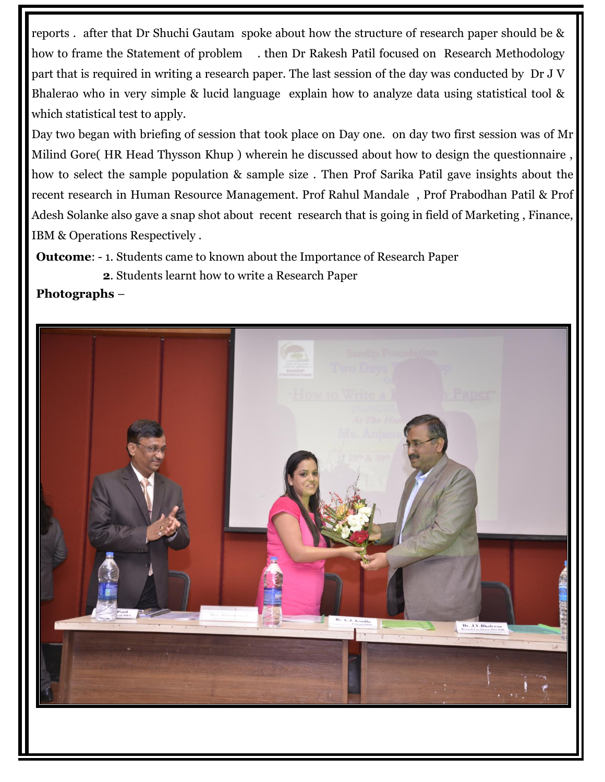reports . after that Dr Shuchi Gautam spoke about how the structure of research paper should be & how to frame the Statement of problem . then Dr Rakesh Patil focused on Research Methodology part that is required in writing a research paper. The last session of the day was conducted by Dr J V Bhalerao who in very simple & lucid language explain how to analyze data using statistical tool & which statistical test to apply.

Day two began with briefing of session that took place on Day one. on day two first session was of Mr Milind Gore( HR Head Thysson Khup ) wherein he discussed about how to design the questionnaire , how to select the sample population & sample size . Then Prof Sarika Patil gave insights about the recent research in Human Resource Management. Prof Rahul Mandale , Prof Prabodhan Patil & Prof Adesh Solanke also gave a snap shot about recent research that is going in field of Marketing , Finance, IBM & Operations Respectively .

**Outcome**: - 1. Students came to known about the Importance of Research Paper

**2**. Students learnt how to write a Research Paper

**Photographs** –

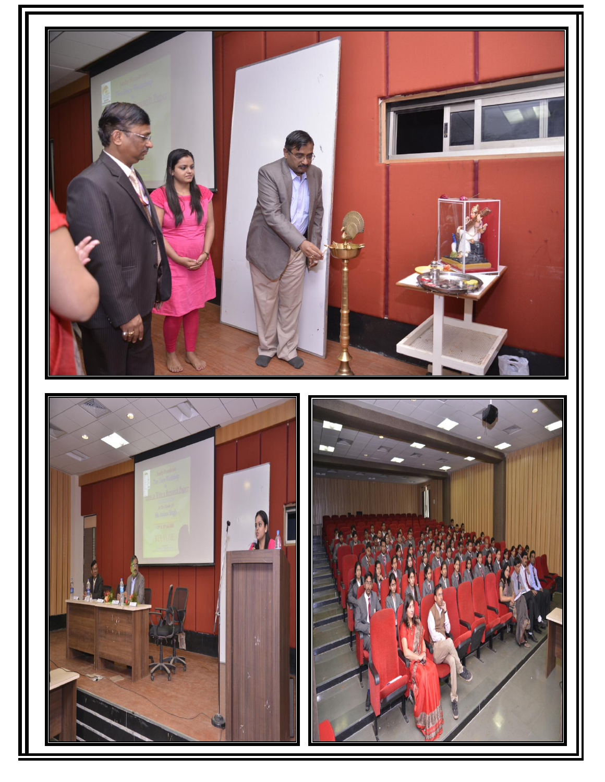